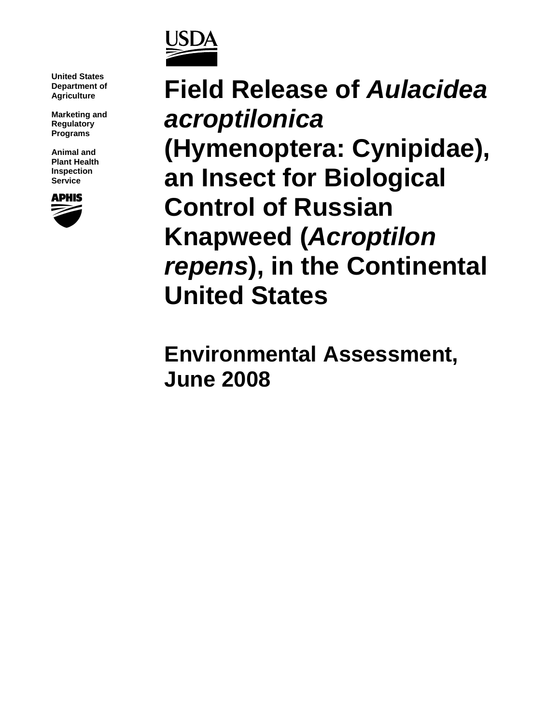

**United States Department of Agriculture** 

**Marketing and Regulatory Programs** 

**Animal and Plant Health Inspection Service** 



**Field Release of** *Aulacidea acroptilonica*  **(Hymenoptera: Cynipidae), an Insect for Biological Control of Russian Knapweed (***Acroptilon repens***), in the Continental United States**

**Environmental Assessment, June 2008**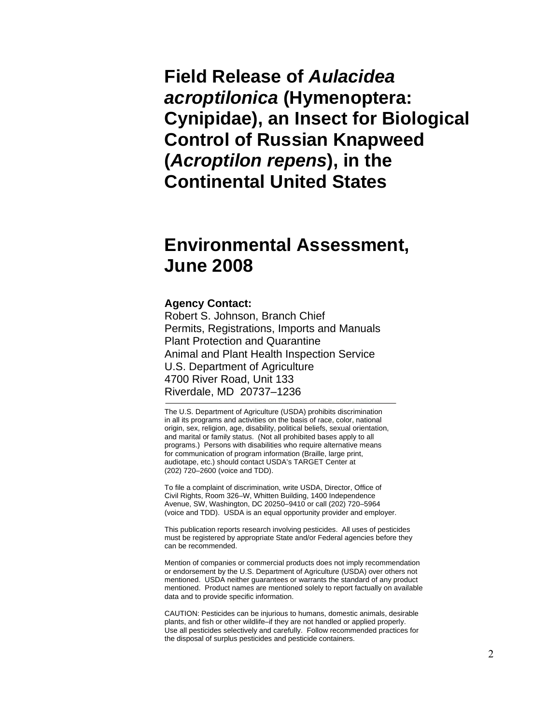**Field Release of** *Aulacidea acroptilonica* **(Hymenoptera: Cynipidae), an Insect for Biological Control of Russian Knapweed (***Acroptilon repens***), in the Continental United States** 

# **Environmental Assessment, June 2008**

#### **Agency Contact:**

Robert S. Johnson, Branch Chief Permits, Registrations, Imports and Manuals Plant Protection and Quarantine Animal and Plant Health Inspection Service U.S. Department of Agriculture 4700 River Road, Unit 133 Riverdale, MD 20737–1236

The U.S. Department of Agriculture (USDA) prohibits discrimination in all its programs and activities on the basis of race, color, national origin, sex, religion, age, disability, political beliefs, sexual orientation, and marital or family status. (Not all prohibited bases apply to all programs.) Persons with disabilities who require alternative means for communication of program information (Braille, large print, audiotape, etc.) should contact USDA's TARGET Center at (202) 720–2600 (voice and TDD).

To file a complaint of discrimination, write USDA, Director, Office of Civil Rights, Room 326–W, Whitten Building, 1400 Independence Avenue, SW, Washington, DC 20250–9410 or call (202) 720–5964 (voice and TDD). USDA is an equal opportunity provider and employer.

This publication reports research involving pesticides. All uses of pesticides must be registered by appropriate State and/or Federal agencies before they can be recommended.

Mention of companies or commercial products does not imply recommendation or endorsement by the U.S. Department of Agriculture (USDA) over others not mentioned. USDA neither guarantees or warrants the standard of any product mentioned. Product names are mentioned solely to report factually on available data and to provide specific information.

CAUTION: Pesticides can be injurious to humans, domestic animals, desirable plants, and fish or other wildlife–if they are not handled or applied properly. Use all pesticides selectively and carefully. Follow recommended practices for the disposal of surplus pesticides and pesticide containers.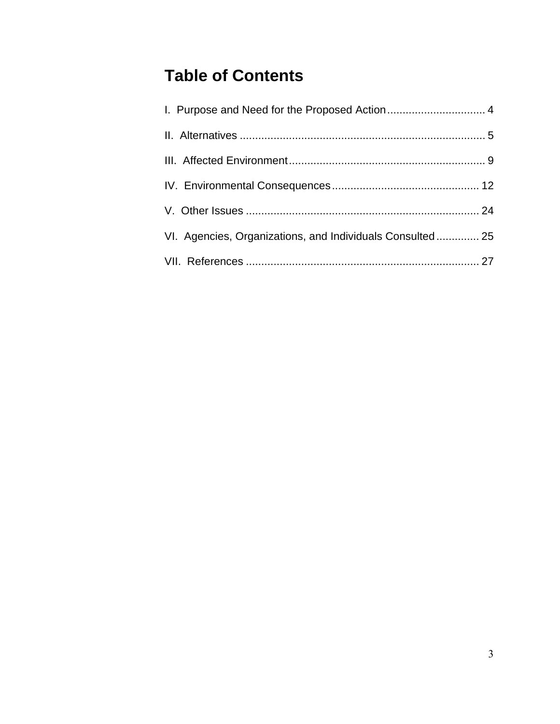# **Table of Contents**

| VI. Agencies, Organizations, and Individuals Consulted 25 |  |
|-----------------------------------------------------------|--|
|                                                           |  |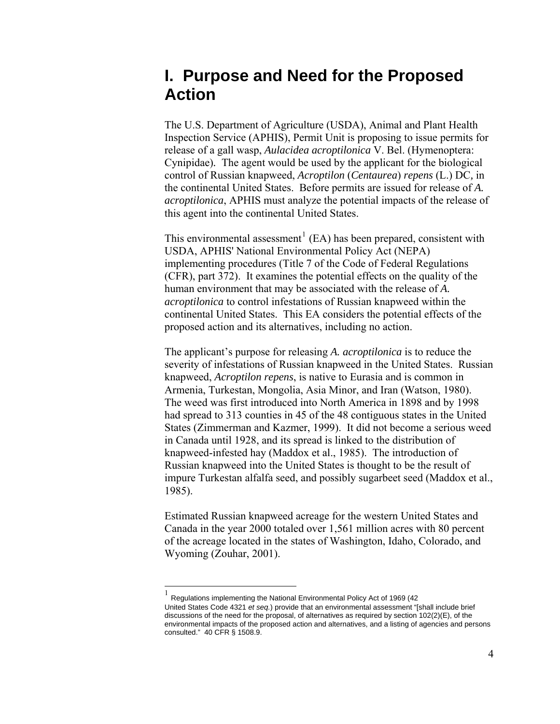# **I. Purpose and Need for the Proposed Action**

The U.S. Department of Agriculture (USDA), Animal and Plant Health Inspection Service (APHIS), Permit Unit is proposing to issue permits for release of a gall wasp, *Aulacidea acroptilonica* V. Bel. (Hymenoptera: Cynipidae)*.* The agent would be used by the applicant for the biological control of Russian knapweed, *Acroptilon* (*Centaurea*) *repens* (L.) DC*,* in the continental United States. Before permits are issued for release of *A. acroptilonica*, APHIS must analyze the potential impacts of the release of this agent into the continental United States.

This environmental assessment<sup>[1](#page-3-0)</sup> (EA) has been prepared, consistent with USDA, APHIS' National Environmental Policy Act (NEPA) implementing procedures (Title 7 of the Code of Federal Regulations (CFR), part 372). It examines the potential effects on the quality of the human environment that may be associated with the release of *A. acroptilonica* to control infestations of Russian knapweed within the continental United States. This EA considers the potential effects of the proposed action and its alternatives, including no action.

The applicant's purpose for releasing *A. acroptilonica* is to reduce the severity of infestations of Russian knapweed in the United States. Russian knapweed, *Acroptilon repens*, is native to Eurasia and is common in Armenia, Turkestan, Mongolia, Asia Minor, and Iran (Watson, 1980). The weed was first introduced into North America in 1898 and by 1998 had spread to 313 counties in 45 of the 48 contiguous states in the United States (Zimmerman and Kazmer, 1999). It did not become a serious weed in Canada until 1928, and its spread is linked to the distribution of knapweed-infested hay (Maddox et al., 1985). The introduction of Russian knapweed into the United States is thought to be the result of impure Turkestan alfalfa seed, and possibly sugarbeet seed (Maddox et al., 1985).

Estimated Russian knapweed acreage for the western United States and Canada in the year 2000 totaled over 1,561 million acres with 80 percent of the acreage located in the states of Washington, Idaho, Colorado, and Wyoming (Zouhar, 2001).

 $\overline{a}$ 

<span id="page-3-0"></span><sup>1</sup> Regulations implementing the National Environmental Policy Act of 1969 (42 United States Code 4321 *et seq.*) provide that an environmental assessment "[shall include brief discussions of the need for the proposal, of alternatives as required by section 102(2)(E), of the environmental impacts of the proposed action and alternatives, and a listing of agencies and persons consulted." 40 CFR § 1508.9.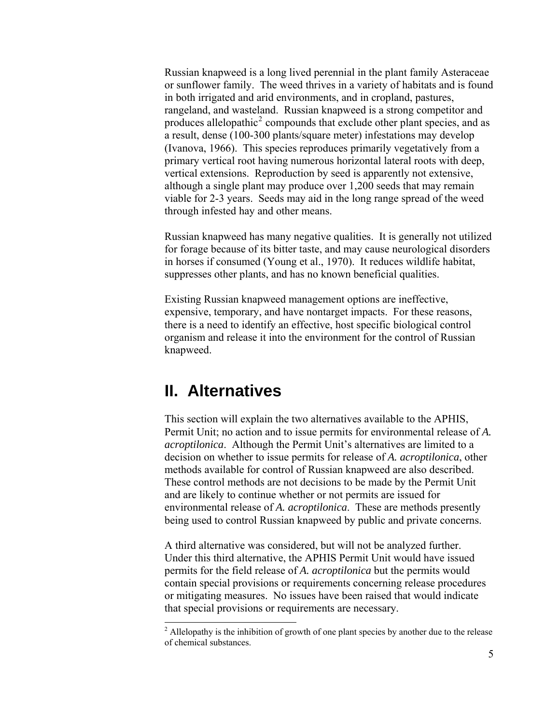Russian knapweed is a long lived perennial in the plant family Asteraceae or sunflower family. The weed thrives in a variety of habitats and is found in both irrigated and arid environments, and in cropland, pastures, rangeland, and wasteland. Russian knapweed is a strong competitor and produces allelopathic<sup>[2](#page-4-0)</sup> compounds that exclude other plant species, and as a result, dense (100-300 plants/square meter) infestations may develop (Ivanova, 1966). This species reproduces primarily vegetatively from a primary vertical root having numerous horizontal lateral roots with deep, vertical extensions. Reproduction by seed is apparently not extensive, although a single plant may produce over 1,200 seeds that may remain viable for 2-3 years. Seeds may aid in the long range spread of the weed through infested hay and other means.

Russian knapweed has many negative qualities. It is generally not utilized for forage because of its bitter taste, and may cause neurological disorders in horses if consumed (Young et al., 1970). It reduces wildlife habitat, suppresses other plants, and has no known beneficial qualities.

Existing Russian knapweed management options are ineffective, expensive, temporary, and have nontarget impacts. For these reasons, there is a need to identify an effective, host specific biological control organism and release it into the environment for the control of Russian knapweed.

# **II. Alternatives**

This section will explain the two alternatives available to the APHIS, Permit Unit; no action and to issue permits for environmental release of *A. acroptilonica*. Although the Permit Unit's alternatives are limited to a decision on whether to issue permits for release of *A. acroptilonica*, other methods available for control of Russian knapweed are also described. These control methods are not decisions to be made by the Permit Unit and are likely to continue whether or not permits are issued for environmental release of *A. acroptilonica*. These are methods presently being used to control Russian knapweed by public and private concerns.

A third alternative was considered, but will not be analyzed further. Under this third alternative, the APHIS Permit Unit would have issued permits for the field release of *A. acroptilonica* but the permits would contain special provisions or requirements concerning release procedures or mitigating measures. No issues have been raised that would indicate that special provisions or requirements are necessary.

<span id="page-4-0"></span><sup>&</sup>lt;sup>2</sup> Allelopathy is the inhibition of growth of one plant species by another due to the release of chemical substances.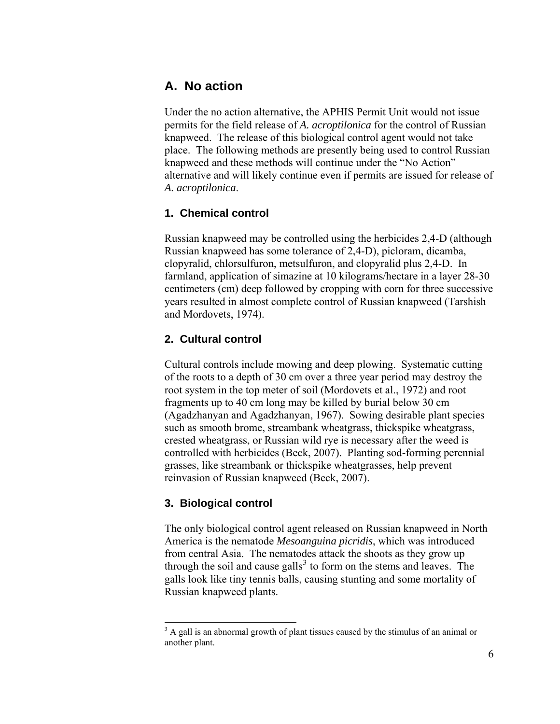## **A. No action**

Under the no action alternative, the APHIS Permit Unit would not issue permits for the field release of *A. acroptilonica* for the control of Russian knapweed. The release of this biological control agent would not take place. The following methods are presently being used to control Russian knapweed and these methods will continue under the "No Action" alternative and will likely continue even if permits are issued for release of *A. acroptilonica*.

## **1. Chemical control**

Russian knapweed may be controlled using the herbicides 2,4-D (although Russian knapweed has some tolerance of 2,4-D), picloram, dicamba, clopyralid, chlorsulfuron, metsulfuron, and clopyralid plus 2,4-D. In farmland, application of simazine at 10 kilograms/hectare in a layer 28-30 centimeters (cm) deep followed by cropping with corn for three successive years resulted in almost complete control of Russian knapweed (Tarshish and Mordovets, 1974).

## **2. Cultural control**

Cultural controls include mowing and deep plowing. Systematic cutting of the roots to a depth of 30 cm over a three year period may destroy the root system in the top meter of soil (Mordovets et al., 1972) and root fragments up to 40 cm long may be killed by burial below 30 cm (Agadzhanyan and Agadzhanyan, 1967). Sowing desirable plant species such as smooth brome, streambank wheatgrass, thickspike wheatgrass, crested wheatgrass, or Russian wild rye is necessary after the weed is controlled with herbicides (Beck, 2007). Planting sod-forming perennial grasses, like streambank or thickspike wheatgrasses, help prevent reinvasion of Russian knapweed (Beck, 2007).

## **3. Biological control**

l

The only biological control agent released on Russian knapweed in North America is the nematode *Mesoanguina picridis*, which was introduced from central Asia. The nematodes attack the shoots as they grow up through the soil and cause galls<sup>[3](#page-5-0)</sup> to form on the stems and leaves. The galls look like tiny tennis balls, causing stunting and some mortality of Russian knapweed plants.

<span id="page-5-0"></span> $3$  A gall is an abnormal growth of plant tissues caused by the stimulus of an animal or another plant.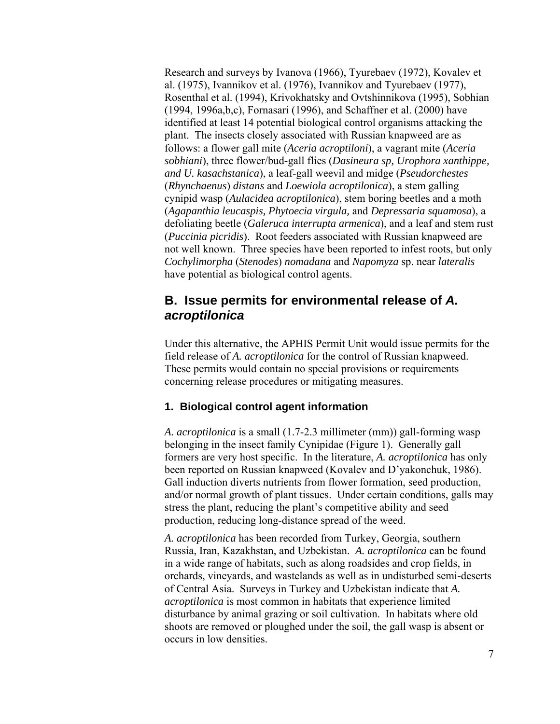Research and surveys by Ivanova (1966), Tyurebaev (1972), Kovalev et al. (1975), Ivannikov et al. (1976), Ivannikov and Tyurebaev (1977), Rosenthal et al. (1994), Krivokhatsky and Ovtshinnikova (1995), Sobhian (1994, 1996a,b,c), Fornasari (1996), and Schaffner et al. (2000) have identified at least 14 potential biological control organisms attacking the plant. The insects closely associated with Russian knapweed are as follows: a flower gall mite (*Aceria acroptiloni*), a vagrant mite (*Aceria sobhiani*), three flower/bud-gall flies (*Dasineura sp, Urophora xanthippe, and U. kasachstanica*), a leaf-gall weevil and midge (*Pseudorchestes*  (*Rhynchaenus*) *distans* and *Loewiola acroptilonica*), a stem galling cynipid wasp (*Aulacidea acroptilonica*), stem boring beetles and a moth (*Agapanthia leucaspis, Phytoecia virgula,* and *Depressaria squamosa*), a defoliating beetle (*Galeruca interrupta armenica*), and a leaf and stem rust (*Puccinia picridis*). Root feeders associated with Russian knapweed are not well known. Three species have been reported to infest roots, but only *Cochylimorpha* (*Stenodes*) *nomadana* and *Napomyza* sp. near *lateralis* have potential as biological control agents.

## **B. Issue permits for environmental release of** *A. acroptilonica*

Under this alternative, the APHIS Permit Unit would issue permits for the field release of *A. acroptilonica* for the control of Russian knapweed. These permits would contain no special provisions or requirements concerning release procedures or mitigating measures.

### **1. Biological control agent information**

*A. acroptilonica* is a small (1.7-2.3 millimeter (mm)) gall-forming wasp belonging in the insect family Cynipidae (Figure 1). Generally gall formers are very host specific. In the literature, *A. acroptilonica* has only been reported on Russian knapweed (Kovalev and D'yakonchuk, 1986). Gall induction diverts nutrients from flower formation, seed production, and/or normal growth of plant tissues. Under certain conditions, galls may stress the plant, reducing the plant's competitive ability and seed production, reducing long-distance spread of the weed.

*A. acroptilonica* has been recorded from Turkey, Georgia, southern Russia, Iran, Kazakhstan, and Uzbekistan. *A. acroptilonica* can be found in a wide range of habitats, such as along roadsides and crop fields, in orchards, vineyards, and wastelands as well as in undisturbed semi-deserts of Central Asia. Surveys in Turkey and Uzbekistan indicate that *A. acroptilonica* is most common in habitats that experience limited disturbance by animal grazing or soil cultivation. In habitats where old shoots are removed or ploughed under the soil, the gall wasp is absent or occurs in low densities.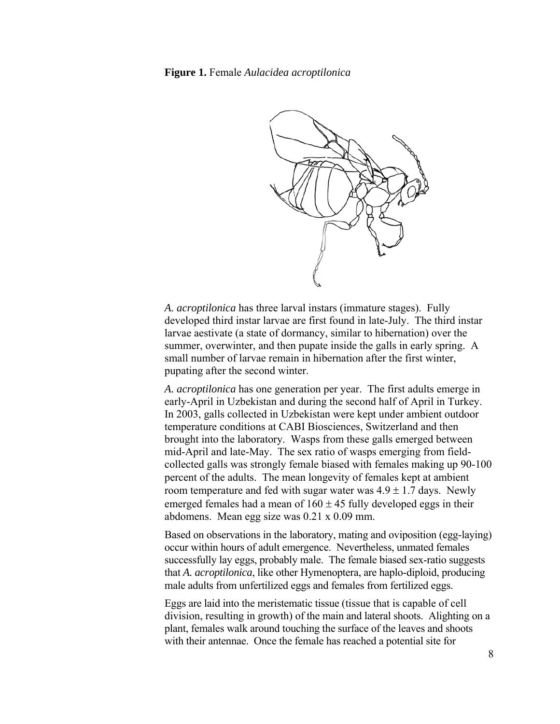**Figure 1.** Female *Aulacidea acroptilonica* 



*A. acroptilonica* has three larval instars (immature stages). Fully developed third instar larvae are first found in late-July. The third instar larvae aestivate (a state of dormancy, similar to hibernation) over the summer, overwinter, and then pupate inside the galls in early spring. A small number of larvae remain in hibernation after the first winter, pupating after the second winter.

*A. acroptilonica* has one generation per year. The first adults emerge in early-April in Uzbekistan and during the second half of April in Turkey. In 2003, galls collected in Uzbekistan were kept under ambient outdoor temperature conditions at CABI Biosciences, Switzerland and then brought into the laboratory. Wasps from these galls emerged between mid-April and late-May. The sex ratio of wasps emerging from fieldcollected galls was strongly female biased with females making up 90-100 percent of the adults. The mean longevity of females kept at ambient room temperature and fed with sugar water was  $4.9 \pm 1.7$  days. Newly emerged females had a mean of  $160 \pm 45$  fully developed eggs in their abdomens. Mean egg size was 0.21 x 0.09 mm.

Based on observations in the laboratory, mating and oviposition (egg-laying) occur within hours of adult emergence. Nevertheless, unmated females successfully lay eggs, probably male. The female biased sex-ratio suggests that *A. acroptilonica*, like other Hymenoptera, are haplo-diploid, producing male adults from unfertilized eggs and females from fertilized eggs.

Eggs are laid into the meristematic tissue (tissue that is capable of cell division, resulting in growth) of the main and lateral shoots. Alighting on a plant, females walk around touching the surface of the leaves and shoots with their antennae. Once the female has reached a potential site for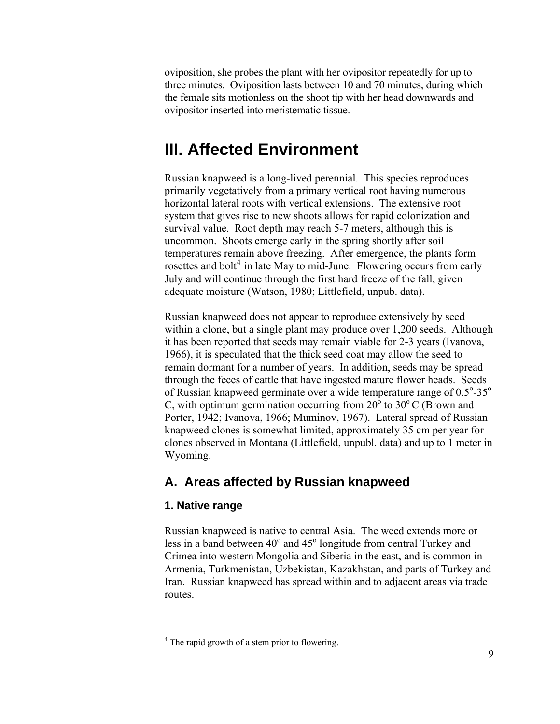oviposition, she probes the plant with her ovipositor repeatedly for up to three minutes. Oviposition lasts between 10 and 70 minutes, during which the female sits motionless on the shoot tip with her head downwards and ovipositor inserted into meristematic tissue.

## **III. Affected Environment**

Russian knapweed is a long-lived perennial. This species reproduces primarily vegetatively from a primary vertical root having numerous horizontal lateral roots with vertical extensions. The extensive root system that gives rise to new shoots allows for rapid colonization and survival value. Root depth may reach 5-7 meters, although this is uncommon. Shoots emerge early in the spring shortly after soil temperatures remain above freezing. After emergence, the plants form rosettes and bolt<sup>[4](#page-8-0)</sup> in late May to mid-June. Flowering occurs from early July and will continue through the first hard freeze of the fall, given adequate moisture (Watson, 1980; Littlefield, unpub. data).

Russian knapweed does not appear to reproduce extensively by seed within a clone, but a single plant may produce over 1,200 seeds. Although it has been reported that seeds may remain viable for 2-3 years (Ivanova, 1966), it is speculated that the thick seed coat may allow the seed to remain dormant for a number of years. In addition, seeds may be spread through the feces of cattle that have ingested mature flower heads. Seeds of Russian knapweed germinate over a wide temperature range of  $0.5^{\circ}$ -35° C, with optimum germination occurring from  $20^{\circ}$  to  $30^{\circ}$  C (Brown and Porter, 1942; Ivanova, 1966; Muminov, 1967). Lateral spread of Russian knapweed clones is somewhat limited, approximately 35 cm per year for clones observed in Montana (Littlefield, unpubl. data) and up to 1 meter in Wyoming.

## **A. Areas affected by Russian knapweed**

#### **1. Native range**

Russian knapweed is native to central Asia. The weed extends more or less in a band between  $40^{\circ}$  and  $45^{\circ}$  longitude from central Turkey and Crimea into western Mongolia and Siberia in the east, and is common in Armenia, Turkmenistan, Uzbekistan, Kazakhstan, and parts of Turkey and Iran. Russian knapweed has spread within and to adjacent areas via trade routes.

<span id="page-8-0"></span> 4 The rapid growth of a stem prior to flowering.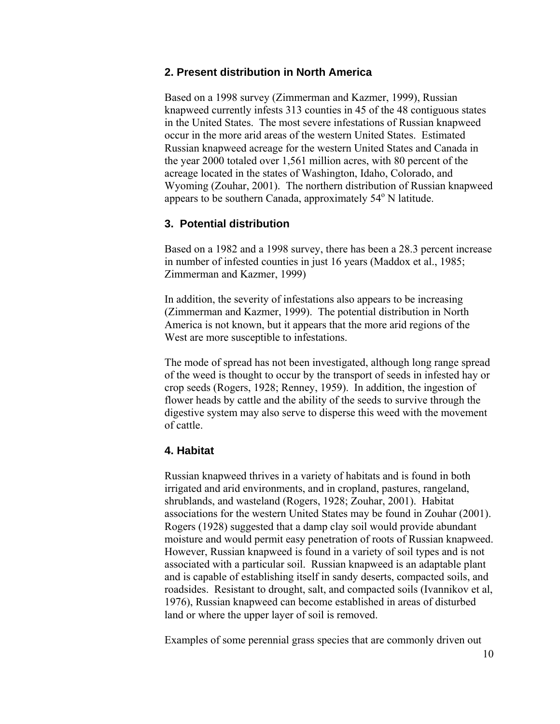### **2. Present distribution in North America**

Based on a 1998 survey (Zimmerman and Kazmer, 1999), Russian knapweed currently infests 313 counties in 45 of the 48 contiguous states in the United States. The most severe infestations of Russian knapweed occur in the more arid areas of the western United States. Estimated Russian knapweed acreage for the western United States and Canada in the year 2000 totaled over 1,561 million acres, with 80 percent of the acreage located in the states of Washington, Idaho, Colorado, and Wyoming (Zouhar, 2001). The northern distribution of Russian knapweed appears to be southern Canada, approximately 54° N latitude.

### **3. Potential distribution**

Based on a 1982 and a 1998 survey, there has been a 28.3 percent increase in number of infested counties in just 16 years (Maddox et al., 1985; Zimmerman and Kazmer, 1999)

In addition, the severity of infestations also appears to be increasing (Zimmerman and Kazmer, 1999). The potential distribution in North America is not known, but it appears that the more arid regions of the West are more susceptible to infestations.

The mode of spread has not been investigated, although long range spread of the weed is thought to occur by the transport of seeds in infested hay or crop seeds (Rogers, 1928; Renney, 1959). In addition, the ingestion of flower heads by cattle and the ability of the seeds to survive through the digestive system may also serve to disperse this weed with the movement of cattle.

#### **4. Habitat**

Russian knapweed thrives in a variety of habitats and is found in both irrigated and arid environments, and in cropland, pastures, rangeland, shrublands, and wasteland (Rogers, 1928; Zouhar, 2001). Habitat associations for the western United States may be found in Zouhar (2001). Rogers (1928) suggested that a damp clay soil would provide abundant moisture and would permit easy penetration of roots of Russian knapweed. However, Russian knapweed is found in a variety of soil types and is not associated with a particular soil. Russian knapweed is an adaptable plant and is capable of establishing itself in sandy deserts, compacted soils, and roadsides. Resistant to drought, salt, and compacted soils (Ivannikov et al, 1976), Russian knapweed can become established in areas of disturbed land or where the upper layer of soil is removed.

Examples of some perennial grass species that are commonly driven out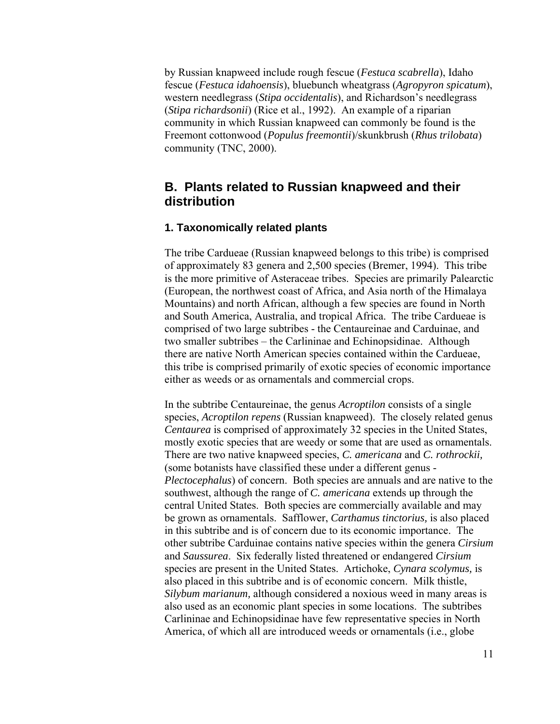by Russian knapweed include rough fescue (*Festuca scabrella*), Idaho fescue (*Festuca idahoensis*), bluebunch wheatgrass (*Agropyron spicatum*), western needlegrass (*Stipa occidentalis*), and Richardson's needlegrass (*Stipa richardsonii*) (Rice et al., 1992). An example of a riparian community in which Russian knapweed can commonly be found is the Freemont cottonwood (*Populus freemontii*)/skunkbrush (*Rhus trilobata*) community (TNC, 2000).

## **B. Plants related to Russian knapweed and their distribution**

## **1. Taxonomically related plants**

The tribe Cardueae (Russian knapweed belongs to this tribe) is comprised of approximately 83 genera and 2,500 species (Bremer, 1994). This tribe is the more primitive of Asteraceae tribes. Species are primarily Palearctic (European, the northwest coast of Africa, and Asia north of the Himalaya Mountains) and north African, although a few species are found in North and South America, Australia, and tropical Africa. The tribe Cardueae is comprised of two large subtribes - the Centaureinae and Carduinae, and two smaller subtribes – the Carlininae and Echinopsidinae. Although there are native North American species contained within the Cardueae, this tribe is comprised primarily of exotic species of economic importance either as weeds or as ornamentals and commercial crops.

In the subtribe Centaureinae, the genus *Acroptilon* consists of a single species, *Acroptilon repens* (Russian knapweed). The closely related genus *Centaurea* is comprised of approximately 32 species in the United States, mostly exotic species that are weedy or some that are used as ornamentals. There are two native knapweed species, *C. americana* and *C. rothrockii,* (some botanists have classified these under a different genus - *Plectocephalus*) of concern. Both species are annuals and are native to the southwest, although the range of *C. americana* extends up through the central United States. Both species are commercially available and may be grown as ornamentals. Safflower, *Carthamus tinctorius,* is also placed in this subtribe and is of concern due to its economic importance. The other subtribe Carduinae contains native species within the genera *Cirsium* and *Saussurea*. Six federally listed threatened or endangered *Cirsium* species are present in the United States. Artichoke, *Cynara scolymus,* is also placed in this subtribe and is of economic concern. Milk thistle, *Silybum marianum,* although considered a noxious weed in many areas is also used as an economic plant species in some locations. The subtribes Carlininae and Echinopsidinae have few representative species in North America, of which all are introduced weeds or ornamentals (i.e., globe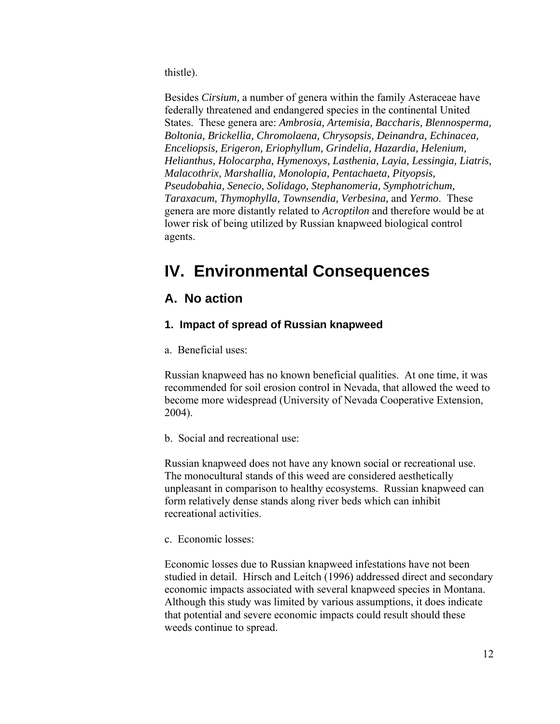thistle).

Besides *Cirsium,* a number of genera within the family Asteraceae have federally threatened and endangered species in the continental United States. These genera are: *Ambrosia, Artemisia, Baccharis, Blennosperma, Boltonia, Brickellia, Chromolaena, Chrysopsis, Deinandra, Echinacea, Enceliopsis, Erigeron, Eriophyllum, Grindelia, Hazardia, Helenium, Helianthus, Holocarpha, Hymenoxys, Lasthenia, Layia, Lessingia, Liatris, Malacothrix, Marshallia, Monolopia, Pentachaeta, Pityopsis, Pseudobahia, Senecio, Solidago, Stephanomeria, Symphotrichum, Taraxacum, Thymophylla, Townsendia, Verbesina,* and *Yermo*. These genera are more distantly related to *Acroptilon* and therefore would be at lower risk of being utilized by Russian knapweed biological control agents.

# **IV. Environmental Consequences**

## **A. No action**

## **1. Impact of spread of Russian knapweed**

a. Beneficial uses:

Russian knapweed has no known beneficial qualities. At one time, it was recommended for soil erosion control in Nevada, that allowed the weed to become more widespread (University of Nevada Cooperative Extension, 2004).

b. Social and recreational use:

Russian knapweed does not have any known social or recreational use. The monocultural stands of this weed are considered aesthetically unpleasant in comparison to healthy ecosystems. Russian knapweed can form relatively dense stands along river beds which can inhibit recreational activities.

c. Economic losses:

Economic losses due to Russian knapweed infestations have not been studied in detail. Hirsch and Leitch (1996) addressed direct and secondary economic impacts associated with several knapweed species in Montana. Although this study was limited by various assumptions, it does indicate that potential and severe economic impacts could result should these weeds continue to spread.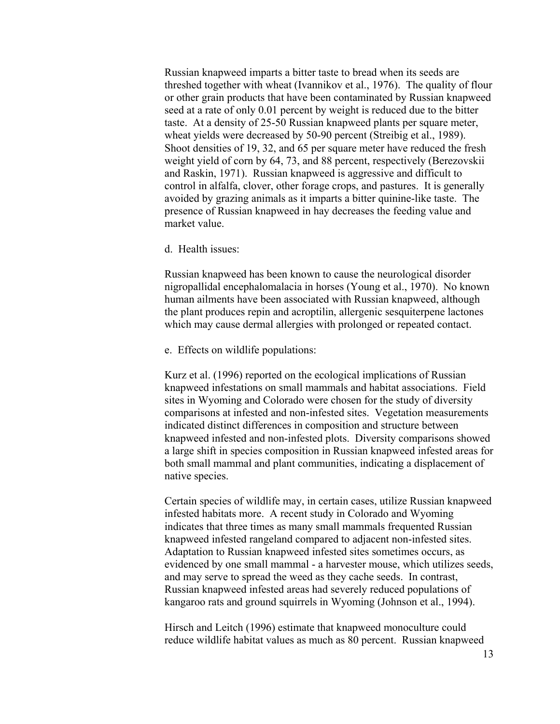Russian knapweed imparts a bitter taste to bread when its seeds are threshed together with wheat (Ivannikov et al., 1976). The quality of flour or other grain products that have been contaminated by Russian knapweed seed at a rate of only 0.01 percent by weight is reduced due to the bitter taste. At a density of 25-50 Russian knapweed plants per square meter, wheat yields were decreased by 50-90 percent (Streibig et al., 1989). Shoot densities of 19, 32, and 65 per square meter have reduced the fresh weight yield of corn by 64, 73, and 88 percent, respectively (Berezovskii and Raskin, 1971). Russian knapweed is aggressive and difficult to control in alfalfa, clover, other forage crops, and pastures. It is generally avoided by grazing animals as it imparts a bitter quinine-like taste. The presence of Russian knapweed in hay decreases the feeding value and market value.

#### d. Health issues:

Russian knapweed has been known to cause the neurological disorder nigropallidal encephalomalacia in horses (Young et al., 1970). No known human ailments have been associated with Russian knapweed, although the plant produces repin and acroptilin, allergenic sesquiterpene lactones which may cause dermal allergies with prolonged or repeated contact.

e. Effects on wildlife populations:

Kurz et al. (1996) reported on the ecological implications of Russian knapweed infestations on small mammals and habitat associations. Field sites in Wyoming and Colorado were chosen for the study of diversity comparisons at infested and non-infested sites. Vegetation measurements indicated distinct differences in composition and structure between knapweed infested and non-infested plots. Diversity comparisons showed a large shift in species composition in Russian knapweed infested areas for both small mammal and plant communities, indicating a displacement of native species.

Certain species of wildlife may, in certain cases, utilize Russian knapweed infested habitats more. A recent study in Colorado and Wyoming indicates that three times as many small mammals frequented Russian knapweed infested rangeland compared to adjacent non-infested sites. Adaptation to Russian knapweed infested sites sometimes occurs, as evidenced by one small mammal - a harvester mouse, which utilizes seeds, and may serve to spread the weed as they cache seeds. In contrast, Russian knapweed infested areas had severely reduced populations of kangaroo rats and ground squirrels in Wyoming (Johnson et al., 1994).

Hirsch and Leitch (1996) estimate that knapweed monoculture could reduce wildlife habitat values as much as 80 percent. Russian knapweed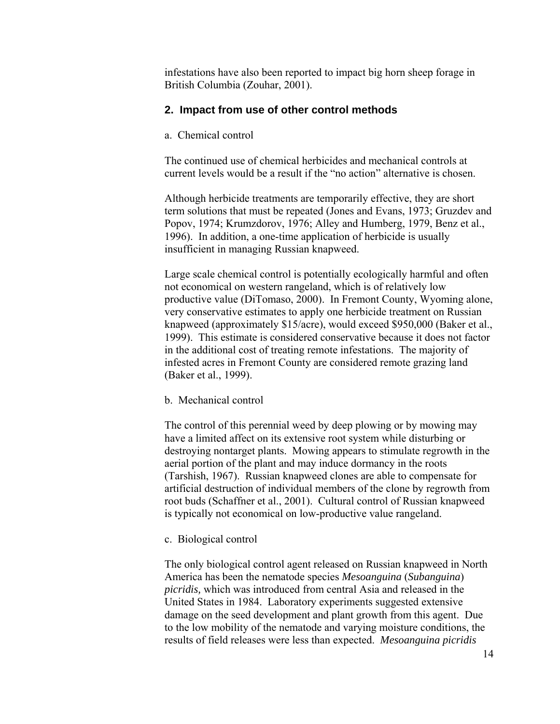infestations have also been reported to impact big horn sheep forage in British Columbia (Zouhar, 2001).

## **2. Impact from use of other control methods**

a. Chemical control

The continued use of chemical herbicides and mechanical controls at current levels would be a result if the "no action" alternative is chosen.

Although herbicide treatments are temporarily effective, they are short term solutions that must be repeated (Jones and Evans, 1973; Gruzdev and Popov, 1974; Krumzdorov, 1976; Alley and Humberg, 1979, Benz et al., 1996). In addition, a one-time application of herbicide is usually insufficient in managing Russian knapweed.

Large scale chemical control is potentially ecologically harmful and often not economical on western rangeland, which is of relatively low productive value (DiTomaso, 2000). In Fremont County, Wyoming alone, very conservative estimates to apply one herbicide treatment on Russian knapweed (approximately \$15/acre), would exceed \$950,000 (Baker et al., 1999). This estimate is considered conservative because it does not factor in the additional cost of treating remote infestations. The majority of infested acres in Fremont County are considered remote grazing land (Baker et al., 1999).

b. Mechanical control

The control of this perennial weed by deep plowing or by mowing may have a limited affect on its extensive root system while disturbing or destroying nontarget plants. Mowing appears to stimulate regrowth in the aerial portion of the plant and may induce dormancy in the roots (Tarshish, 1967). Russian knapweed clones are able to compensate for artificial destruction of individual members of the clone by regrowth from root buds (Schaffner et al., 2001). Cultural control of Russian knapweed is typically not economical on low-productive value rangeland.

c. Biological control

The only biological control agent released on Russian knapweed in North America has been the nematode species *Mesoanguina* (*Subanguina*) *picridis,* which was introduced from central Asia and released in the United States in 1984. Laboratory experiments suggested extensive damage on the seed development and plant growth from this agent. Due to the low mobility of the nematode and varying moisture conditions, the results of field releases were less than expected. *Mesoanguina picridis*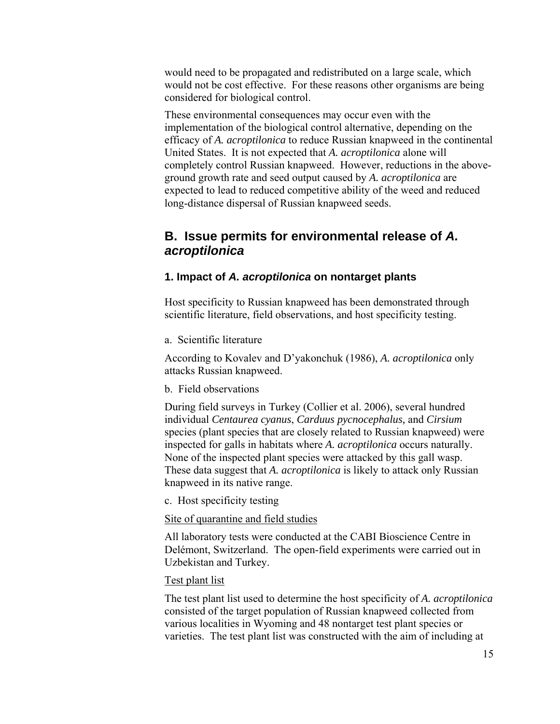would need to be propagated and redistributed on a large scale, which would not be cost effective. For these reasons other organisms are being considered for biological control.

These environmental consequences may occur even with the implementation of the biological control alternative, depending on the efficacy of *A. acroptilonica* to reduce Russian knapweed in the continental United States. It is not expected that *A. acroptilonica* alone will completely control Russian knapweed. However, reductions in the aboveground growth rate and seed output caused by *A. acroptilonica* are expected to lead to reduced competitive ability of the weed and reduced long-distance dispersal of Russian knapweed seeds.

## **B. Issue permits for environmental release of** *A. acroptilonica*

## **1. Impact of** *A. acroptilonica* **on nontarget plants**

Host specificity to Russian knapweed has been demonstrated through scientific literature, field observations, and host specificity testing.

a. Scientific literature

According to Kovalev and D'yakonchuk (1986), *A. acroptilonica* only attacks Russian knapweed.

b. Field observations

During field surveys in Turkey (Collier et al. 2006), several hundred individual *Centaurea cyanus*, *Carduus pycnocephalus,* and *Cirsium* species (plant species that are closely related to Russian knapweed) were inspected for galls in habitats where *A. acroptilonica* occurs naturally. None of the inspected plant species were attacked by this gall wasp. These data suggest that *A. acroptilonica* is likely to attack only Russian knapweed in its native range.

c. Host specificity testing

Site of quarantine and field studies

All laboratory tests were conducted at the CABI Bioscience Centre in Delémont, Switzerland. The open-field experiments were carried out in Uzbekistan and Turkey.

#### Test plant list

The test plant list used to determine the host specificity of *A. acroptilonica*  consisted of the target population of Russian knapweed collected from various localities in Wyoming and 48 nontarget test plant species or varieties. The test plant list was constructed with the aim of including at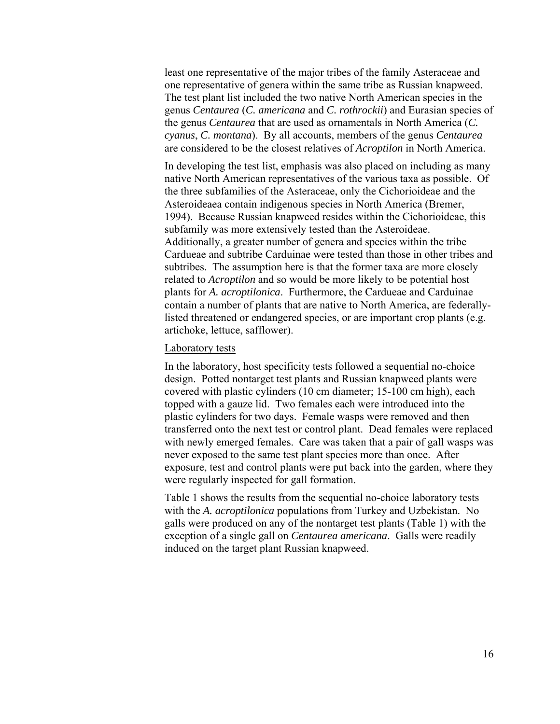least one representative of the major tribes of the family Asteraceae and one representative of genera within the same tribe as Russian knapweed. The test plant list included the two native North American species in the genus *Centaurea* (*C. americana* and *C. rothrockii*) and Eurasian species of the genus *Centaurea* that are used as ornamentals in North America (*C. cyanus*, *C. montana*). By all accounts, members of the genus *Centaurea* are considered to be the closest relatives of *Acroptilon* in North America.

In developing the test list, emphasis was also placed on including as many native North American representatives of the various taxa as possible. Of the three subfamilies of the Asteraceae, only the Cichorioideae and the Asteroideaea contain indigenous species in North America (Bremer, 1994). Because Russian knapweed resides within the Cichorioideae, this subfamily was more extensively tested than the Asteroideae. Additionally, a greater number of genera and species within the tribe Cardueae and subtribe Carduinae were tested than those in other tribes and subtribes. The assumption here is that the former taxa are more closely related to *Acroptilon* and so would be more likely to be potential host plants for *A. acroptilonica*. Furthermore, the Cardueae and Carduinae contain a number of plants that are native to North America, are federallylisted threatened or endangered species, or are important crop plants (e.g. artichoke, lettuce, safflower).

#### Laboratory tests

In the laboratory, host specificity tests followed a sequential no-choice design. Potted nontarget test plants and Russian knapweed plants were covered with plastic cylinders (10 cm diameter; 15-100 cm high), each topped with a gauze lid. Two females each were introduced into the plastic cylinders for two days. Female wasps were removed and then transferred onto the next test or control plant. Dead females were replaced with newly emerged females. Care was taken that a pair of gall wasps was never exposed to the same test plant species more than once. After exposure, test and control plants were put back into the garden, where they were regularly inspected for gall formation.

Table 1 shows the results from the sequential no-choice laboratory tests with the *A. acroptilonica* populations from Turkey and Uzbekistan. No galls were produced on any of the nontarget test plants (Table 1) with the exception of a single gall on *Centaurea americana*. Galls were readily induced on the target plant Russian knapweed.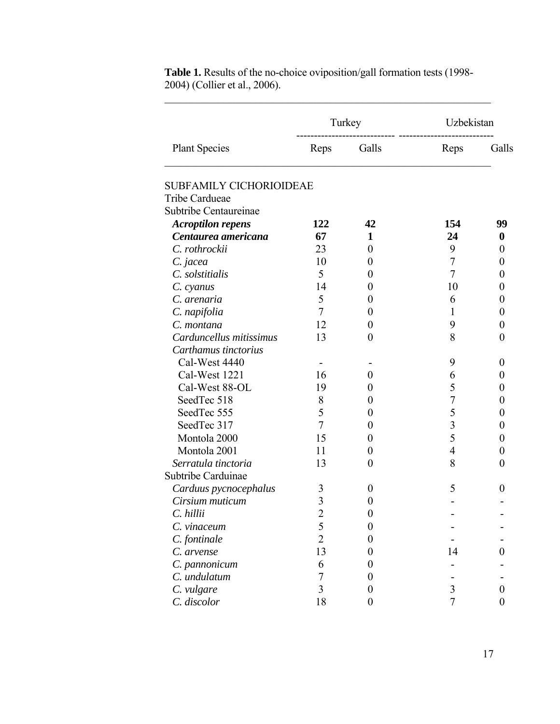|                                |                         | Turkey           | Uzbekistan     |          |
|--------------------------------|-------------------------|------------------|----------------|----------|
| <b>Plant Species</b>           | Reps                    | Galls            | Reps           | Galls    |
| <b>SUBFAMILY CICHORIOIDEAE</b> |                         |                  |                |          |
| <b>Tribe Cardueae</b>          |                         |                  |                |          |
| Subtribe Centaureinae          |                         |                  |                |          |
| <b>Acroptilon repens</b>       | 122                     | 42               | 154            | 99       |
| Centaurea americana            | 67                      | 1                | 24             | $\bf{0}$ |
| C. rothrockii                  | 23                      | $\theta$         | 9              | 0        |
| C. jacea                       | 10                      | $\theta$         | 7              | 0        |
| C. solstitialis                | 5                       | 0                | 7              | 0        |
| C. cyanus                      | 14                      | 0                | 10             | 0        |
| C. arenaria                    | 5                       | $\theta$         | 6              | 0        |
| C. napifolia                   | 7                       | 0                | 1              | 0        |
| C. montana                     | 12                      | $\theta$         | 9              | 0        |
| Carduncellus mitissimus        | 13                      | $\overline{0}$   | 8              | 0        |
| Carthamus tinctorius           |                         |                  |                |          |
| Cal-West 4440                  |                         |                  | 9              | $_{0}$   |
| Cal-West 1221                  | 16                      | 0                | 6              | 0        |
| Cal-West 88-OL                 | 19                      | $\theta$         | 5              | 0        |
| SeedTec 518                    | 8                       | 0                | 7              | 0        |
| SeedTec 555                    | 5                       | 0                | 5              | 0        |
| SeedTec 317                    | $\overline{7}$          | $\boldsymbol{0}$ | 3              | 0        |
| Montola 2000                   | 15                      | 0                | 5              | 0        |
| Montola 2001                   | 11                      | $\theta$         | $\overline{4}$ | 0        |
| Serratula tinctoria            | 13                      | $\overline{0}$   | 8              | 0        |
| Subtribe Carduinae             |                         |                  |                |          |
| Carduus pycnocephalus          | 3                       | $\theta$         | 5              | 0        |
| Cirsium muticum                | $\overline{\mathbf{3}}$ | $\boldsymbol{0}$ |                |          |
| C. hillii                      | $\overline{2}$          | $\overline{0}$   |                |          |
| C. vinaceum                    | 5                       | $\boldsymbol{0}$ |                |          |
| C. fontinale                   | $\overline{2}$          | 0                |                |          |
| C. arvense                     | 13                      | 0                | 14             | 0        |
| C. pannonicum                  | 6                       | 0                |                |          |
| C. undulatum                   | 7                       | 0                |                |          |
| C. vulgare                     | 3                       | 0                | 3              | 0        |
| C. discolor                    | 18                      | 0                | $\overline{7}$ | 0        |

**Table 1.** Results of the no-choice oviposition/gall formation tests (1998- 2004) (Collier et al., 2006).

 $\mathcal{L}_\text{max}$  , and the contribution of the contribution of the contribution of the contribution of the contribution of the contribution of the contribution of the contribution of the contribution of the contribution of t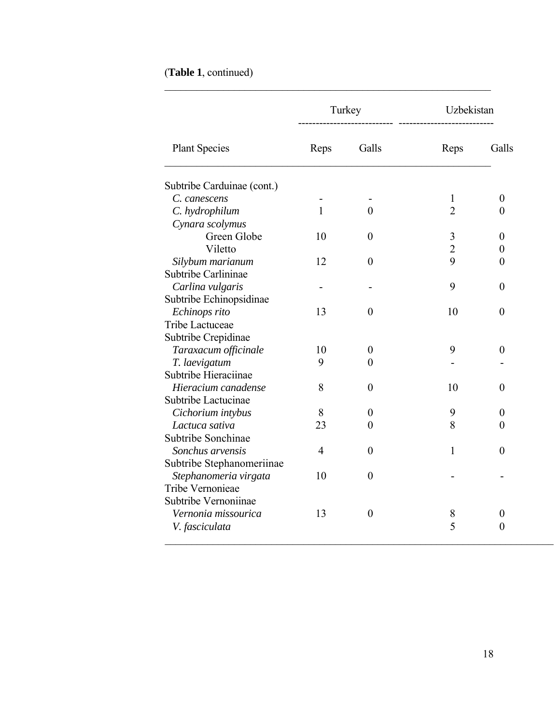| (Table 1, continued) |  |
|----------------------|--|
|----------------------|--|

|                            |                | Turkey           | Uzbekistan     |                  |
|----------------------------|----------------|------------------|----------------|------------------|
| <b>Plant Species</b>       | Reps           | Galls            | Reps           | Galls            |
| Subtribe Carduinae (cont.) |                |                  |                |                  |
| C. canescens               |                |                  | 1              | $\boldsymbol{0}$ |
| C. hydrophilum             | $\mathbf{1}$   | $\theta$         | $\overline{2}$ | $\theta$         |
| Cynara scolymus            |                |                  |                |                  |
| Green Globe                | 10             | $\boldsymbol{0}$ | $\mathfrak{Z}$ | $\boldsymbol{0}$ |
| Viletto                    |                |                  | $\overline{2}$ | $\boldsymbol{0}$ |
| Silybum marianum           | 12             | $\overline{0}$   | 9              | $\boldsymbol{0}$ |
| Subtribe Carlininae        |                |                  |                |                  |
| Carlina vulgaris           |                |                  | 9              | $\boldsymbol{0}$ |
| Subtribe Echinopsidinae    |                |                  |                |                  |
| Echinops rito              | 13             | $\overline{0}$   | 10             | $\boldsymbol{0}$ |
| Tribe Lactuceae            |                |                  |                |                  |
| Subtribe Crepidinae        |                |                  |                |                  |
| Taraxacum officinale       | 10             | $\boldsymbol{0}$ | 9              | $\boldsymbol{0}$ |
| T. laevigatum              | 9              | $\overline{0}$   |                |                  |
| Subtribe Hieraciinae       |                |                  |                |                  |
| Hieracium canadense        | 8              | $\boldsymbol{0}$ | 10             | $\boldsymbol{0}$ |
| Subtribe Lactucinae        |                |                  |                |                  |
| Cichorium intybus          | 8              | $\boldsymbol{0}$ | 9              | $\boldsymbol{0}$ |
| Lactuca sativa             | 23             | $\theta$         | 8              | $\boldsymbol{0}$ |
| Subtribe Sonchinae         |                |                  |                |                  |
| Sonchus arvensis           | $\overline{4}$ | $\overline{0}$   | $\mathbf{1}$   | $\overline{0}$   |
| Subtribe Stephanomeriinae  |                |                  |                |                  |
| Stephanomeria virgata      | 10             | $\boldsymbol{0}$ |                |                  |
| Tribe Vernonieae           |                |                  |                |                  |
| Subtribe Vernoniinae       |                |                  |                |                  |
| Vernonia missourica        | 13             | $\boldsymbol{0}$ | 8              | $\theta$         |
| V. fasciculata             |                |                  | 5              | $\boldsymbol{0}$ |

 $\mathcal{L}_\text{max}$  , and the contribution of the contribution of the contribution of the contribution of the contribution of the contribution of the contribution of the contribution of the contribution of the contribution of t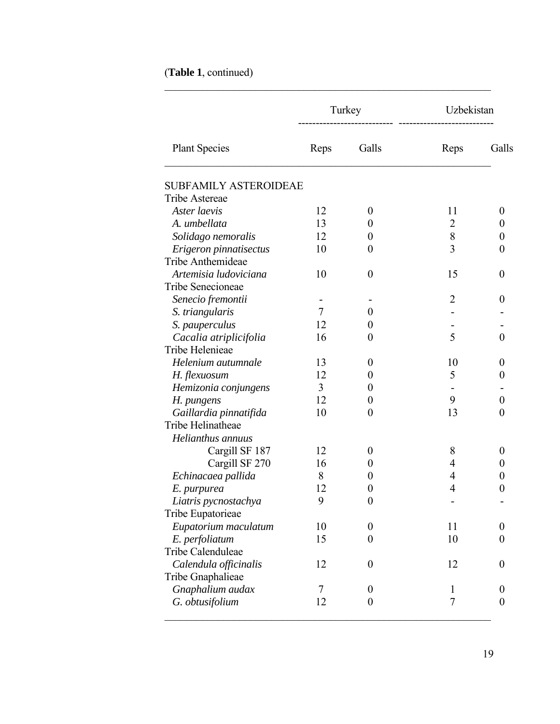|  |  | (Table 1, continued) |
|--|--|----------------------|
|--|--|----------------------|

|                              |        | Turkey           | Uzbekistan     |                  |
|------------------------------|--------|------------------|----------------|------------------|
| <b>Plant Species</b>         | Reps   | Galls            | Reps           | Galls            |
| <b>SUBFAMILY ASTEROIDEAE</b> |        |                  |                |                  |
| Tribe Astereae               |        |                  |                |                  |
| Aster laevis                 | 12     | $\boldsymbol{0}$ | 11             | $\theta$         |
| A. umbellata                 | 13     | $\boldsymbol{0}$ | $\overline{2}$ | 0                |
| Solidago nemoralis           | 12     | $\boldsymbol{0}$ | 8              | 0                |
| Erigeron pinnatisectus       | 10     | $\boldsymbol{0}$ | 3              | $\theta$         |
| Tribe Anthemideae            |        |                  |                |                  |
| Artemisia ludoviciana        | 10     | $\boldsymbol{0}$ | 15             | $\theta$         |
| Tribe Senecioneae            |        |                  |                |                  |
| Senecio fremontii            |        |                  | $\overline{2}$ | $\theta$         |
| S. triangularis              | $\tau$ | $\boldsymbol{0}$ |                |                  |
| S. pauperculus               | 12     | $\theta$         |                |                  |
| Cacalia atriplicifolia       | 16     | $\theta$         | 5              | $\overline{0}$   |
| Tribe Helenieae              |        |                  |                |                  |
| Helenium autumnale           | 13     | $\boldsymbol{0}$ | 10             | $\theta$         |
| H. flexuosum                 | 12     | $\boldsymbol{0}$ | 5              | 0                |
| Hemizonia conjungens         | 3      | $\theta$         |                |                  |
| H. pungens                   | 12     | $\boldsymbol{0}$ | 9              | $\overline{0}$   |
| Gaillardia pinnatifida       | 10     | $\boldsymbol{0}$ | 13             | $\theta$         |
| Tribe Helinatheae            |        |                  |                |                  |
| Helianthus annuus            |        |                  |                |                  |
| Cargill SF 187               | 12     | $\boldsymbol{0}$ | 8              | $\theta$         |
| Cargill SF 270               | 16     | $\theta$         | 4              | 0                |
| Echinacaea pallida           | 8      | $\theta$         | 4              | 0                |
| E. purpurea                  | 12     | $\boldsymbol{0}$ | 4              | 0                |
| Liatris pycnostachya         | 9      | $\boldsymbol{0}$ |                |                  |
| Tribe Eupatorieae            |        |                  |                |                  |
| Eupatorium maculatum         | 10     | $\boldsymbol{0}$ | 11             | $\boldsymbol{0}$ |
| E. perfoliatum               | 15     | $\overline{0}$   | 10             | $\theta$         |
| Tribe Calenduleae            |        |                  |                |                  |
| Calendula officinalis        | 12     | $\boldsymbol{0}$ | 12             | $\boldsymbol{0}$ |
| Tribe Gnaphalieae            |        |                  |                |                  |
| Gnaphalium audax             | 7      | $\boldsymbol{0}$ | 1              | $\theta$         |
| G. obtusifolium              | 12     | $\boldsymbol{0}$ | 7              | $\boldsymbol{0}$ |
|                              |        |                  |                |                  |

 $\mathcal{L}_\text{max}$  , and the contribution of the contribution of the contribution of the contribution of the contribution of the contribution of the contribution of the contribution of the contribution of the contribution of t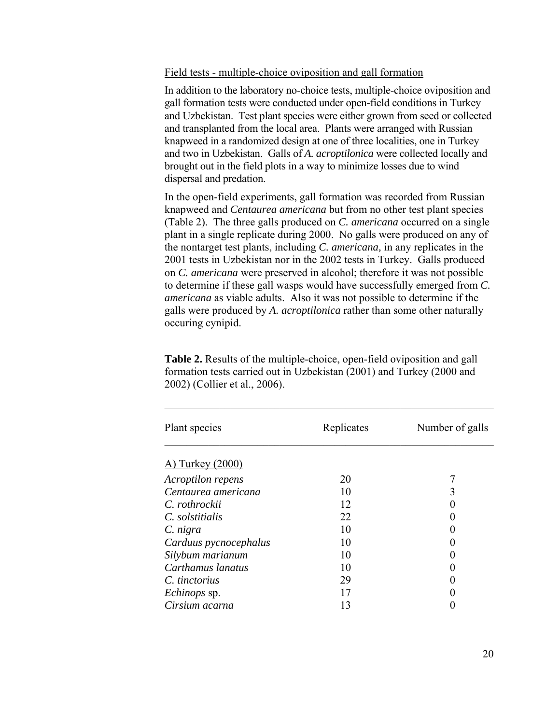Field tests - multiple-choice oviposition and gall formation

In addition to the laboratory no-choice tests, multiple-choice oviposition and gall formation tests were conducted under open-field conditions in Turkey and Uzbekistan. Test plant species were either grown from seed or collected and transplanted from the local area. Plants were arranged with Russian knapweed in a randomized design at one of three localities, one in Turkey and two in Uzbekistan. Galls of *A. acroptilonica* were collected locally and brought out in the field plots in a way to minimize losses due to wind dispersal and predation.

In the open-field experiments, gall formation was recorded from Russian knapweed and *Centaurea americana* but from no other test plant species (Table 2). The three galls produced on *C. americana* occurred on a single plant in a single replicate during 2000. No galls were produced on any of the nontarget test plants, including *C. americana,* in any replicates in the 2001 tests in Uzbekistan nor in the 2002 tests in Turkey. Galls produced on *C. americana* were preserved in alcohol; therefore it was not possible to determine if these gall wasps would have successfully emerged from *C. americana* as viable adults. Also it was not possible to determine if the galls were produced by *A. acroptilonica* rather than some other naturally occuring cynipid.

**Table 2.** Results of the multiple-choice, open-field oviposition and gall formation tests carried out in Uzbekistan (2001) and Turkey (2000 and 2002) (Collier et al., 2006).

 $\mathcal{L}_\text{max}$  and the contract of the contract of the contract of the contract of the contract of the contract of

| Plant species         | Replicates | Number of galls |
|-----------------------|------------|-----------------|
| A) Turkey (2000)      |            |                 |
| Acroptilon repens     | 20         |                 |
| Centaurea americana   | 10         |                 |
| C. rothrockii         | 12         |                 |
| C. solstitialis       | 22         |                 |
| C. nigra              | 10         |                 |
| Carduus pycnocephalus | 10         |                 |
| Silybum marianum      | 10         |                 |
| Carthamus lanatus     | 10         |                 |
| C. tinctorius         | 29         |                 |
| <i>Echinops</i> sp.   | 17         |                 |
| Cirsium acarna        | 13         |                 |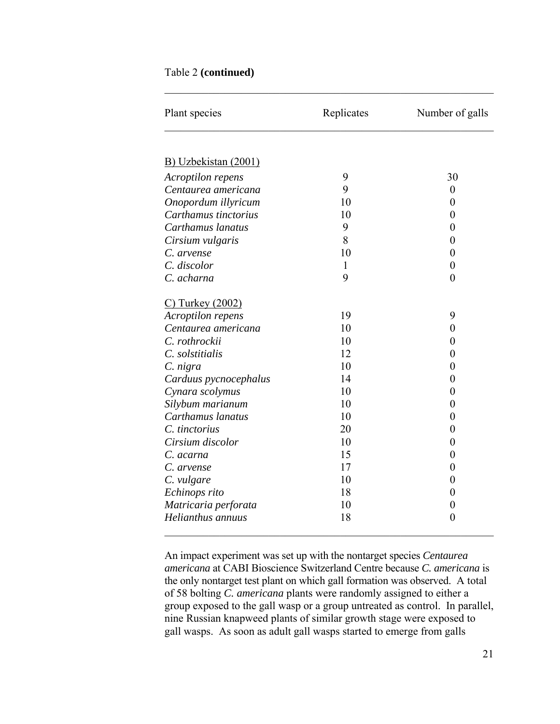### Table 2 **(continued)**

| Plant species           | Replicates | Number of galls  |  |
|-------------------------|------------|------------------|--|
|                         |            |                  |  |
| B) Uzbekistan (2001)    |            |                  |  |
| Acroptilon repens       | 9          | 30               |  |
| Centaurea americana     | 9          | $\boldsymbol{0}$ |  |
| Onopordum illyricum     | 10         | $\boldsymbol{0}$ |  |
| Carthamus tinctorius    | 10         | $\boldsymbol{0}$ |  |
| Carthamus lanatus       | 9          | 0                |  |
| Cirsium vulgaris        | 8          | $\overline{0}$   |  |
| C. arvense              | 10         | $\boldsymbol{0}$ |  |
| C. discolor             | 1          | $\boldsymbol{0}$ |  |
| C. acharna              | 9          | $\overline{0}$   |  |
| <u>C) Turkey (2002)</u> |            |                  |  |
| Acroptilon repens       | 19         | 9                |  |
| Centaurea americana     | 10         | $\boldsymbol{0}$ |  |
| C. rothrockii           | 10         | $\overline{0}$   |  |
| C. solstitialis         | 12         | $\overline{0}$   |  |
| C. nigra                | 10         | 0                |  |
| Carduus pycnocephalus   | 14         | $\boldsymbol{0}$ |  |
| Cynara scolymus         | 10         | 0                |  |
| Silybum marianum        | 10         | $\overline{0}$   |  |
| Carthamus lanatus       | 10         | $\boldsymbol{0}$ |  |
| C. tinctorius           | 20         | $\overline{0}$   |  |
| Cirsium discolor        | 10         | $\boldsymbol{0}$ |  |
| C. acarna               | 15         | $\boldsymbol{0}$ |  |
| C. arvense              | 17         | 0                |  |
| C. vulgare              | 10         | $\boldsymbol{0}$ |  |
| Echinops rito           | 18         | 0                |  |
| Matricaria perforata    | 10         | $\boldsymbol{0}$ |  |
| Helianthus annuus       | 18         | $\overline{0}$   |  |

 $\mathcal{L}_\mathcal{L}$  , and the contribution of the contribution of the contribution of the contribution of the contribution of the contribution of the contribution of the contribution of the contribution of the contribution of

An impact experiment was set up with the nontarget species *Centaurea americana* at CABI Bioscience Switzerland Centre because *C. americana* is the only nontarget test plant on which gall formation was observed. A total of 58 bolting *C. americana* plants were randomly assigned to either a group exposed to the gall wasp or a group untreated as control. In parallel, nine Russian knapweed plants of similar growth stage were exposed to gall wasps. As soon as adult gall wasps started to emerge from galls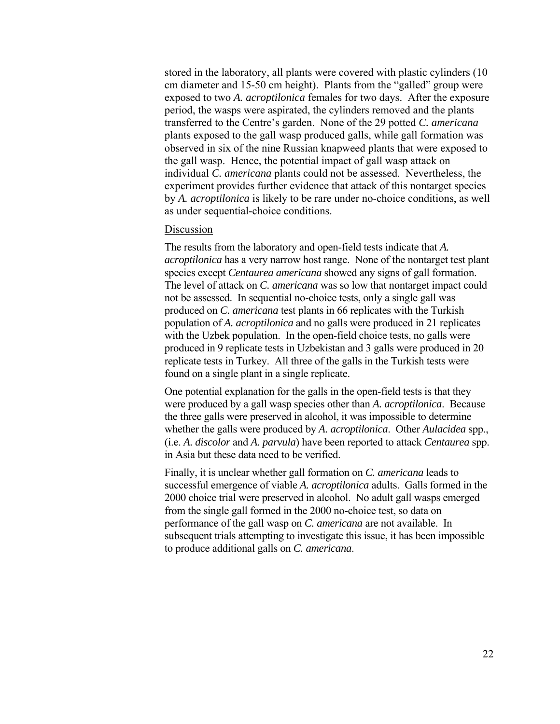stored in the laboratory, all plants were covered with plastic cylinders (10 cm diameter and 15-50 cm height). Plants from the "galled" group were exposed to two *A. acroptilonica* females for two days. After the exposure period, the wasps were aspirated, the cylinders removed and the plants transferred to the Centre's garden. None of the 29 potted *C. americana* plants exposed to the gall wasp produced galls, while gall formation was observed in six of the nine Russian knapweed plants that were exposed to the gall wasp. Hence, the potential impact of gall wasp attack on individual *C. americana* plants could not be assessed. Nevertheless, the experiment provides further evidence that attack of this nontarget species by *A. acroptilonica* is likely to be rare under no-choice conditions, as well as under sequential-choice conditions.

#### Discussion

The results from the laboratory and open-field tests indicate that *A. acroptilonica* has a very narrow host range. None of the nontarget test plant species except *Centaurea americana* showed any signs of gall formation. The level of attack on *C. americana* was so low that nontarget impact could not be assessed. In sequential no-choice tests, only a single gall was produced on *C. americana* test plants in 66 replicates with the Turkish population of *A. acroptilonica* and no galls were produced in 21 replicates with the Uzbek population. In the open-field choice tests, no galls were produced in 9 replicate tests in Uzbekistan and 3 galls were produced in 20 replicate tests in Turkey. All three of the galls in the Turkish tests were found on a single plant in a single replicate.

One potential explanation for the galls in the open-field tests is that they were produced by a gall wasp species other than *A. acroptilonica*. Because the three galls were preserved in alcohol, it was impossible to determine whether the galls were produced by *A. acroptilonica*. Other *Aulacidea* spp., (i.e. *A. discolor* and *A. parvula*) have been reported to attack *Centaurea* spp. in Asia but these data need to be verified.

Finally, it is unclear whether gall formation on *C. americana* leads to successful emergence of viable *A. acroptilonica* adults. Galls formed in the 2000 choice trial were preserved in alcohol. No adult gall wasps emerged from the single gall formed in the 2000 no-choice test, so data on performance of the gall wasp on *C. americana* are not available. In subsequent trials attempting to investigate this issue, it has been impossible to produce additional galls on *C. americana*.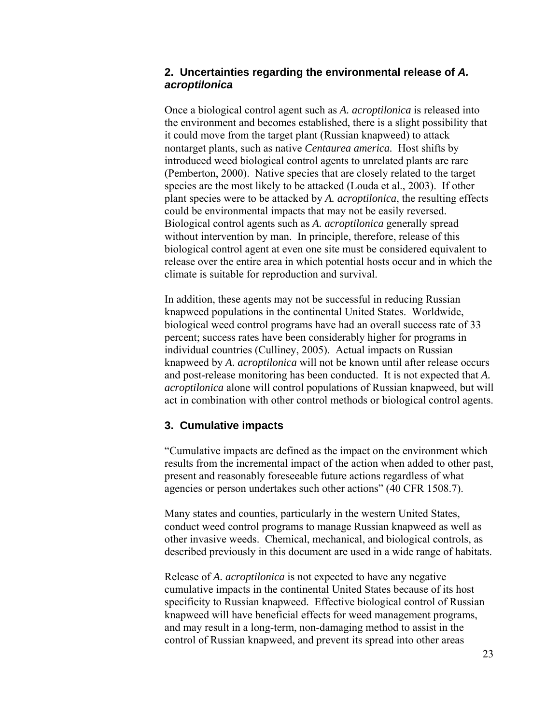## **2. Uncertainties regarding the environmental release of** *A. acroptilonica*

Once a biological control agent such as *A. acroptilonica* is released into the environment and becomes established, there is a slight possibility that it could move from the target plant (Russian knapweed) to attack nontarget plants, such as native *Centaurea america.* Host shifts by introduced weed biological control agents to unrelated plants are rare (Pemberton, 2000). Native species that are closely related to the target species are the most likely to be attacked (Louda et al., 2003). If other plant species were to be attacked by *A. acroptilonica*, the resulting effects could be environmental impacts that may not be easily reversed. Biological control agents such as *A. acroptilonica* generally spread without intervention by man. In principle, therefore, release of this biological control agent at even one site must be considered equivalent to release over the entire area in which potential hosts occur and in which the climate is suitable for reproduction and survival.

In addition, these agents may not be successful in reducing Russian knapweed populations in the continental United States. Worldwide, biological weed control programs have had an overall success rate of 33 percent; success rates have been considerably higher for programs in individual countries (Culliney, 2005). Actual impacts on Russian knapweed by *A. acroptilonica* will not be known until after release occurs and post-release monitoring has been conducted. It is not expected that *A. acroptilonica* alone will control populations of Russian knapweed, but will act in combination with other control methods or biological control agents.

## **3. Cumulative impacts**

"Cumulative impacts are defined as the impact on the environment which results from the incremental impact of the action when added to other past, present and reasonably foreseeable future actions regardless of what agencies or person undertakes such other actions" (40 CFR 1508.7).

Many states and counties, particularly in the western United States, conduct weed control programs to manage Russian knapweed as well as other invasive weeds. Chemical, mechanical, and biological controls, as described previously in this document are used in a wide range of habitats.

Release of *A. acroptilonica* is not expected to have any negative cumulative impacts in the continental United States because of its host specificity to Russian knapweed. Effective biological control of Russian knapweed will have beneficial effects for weed management programs, and may result in a long-term, non-damaging method to assist in the control of Russian knapweed, and prevent its spread into other areas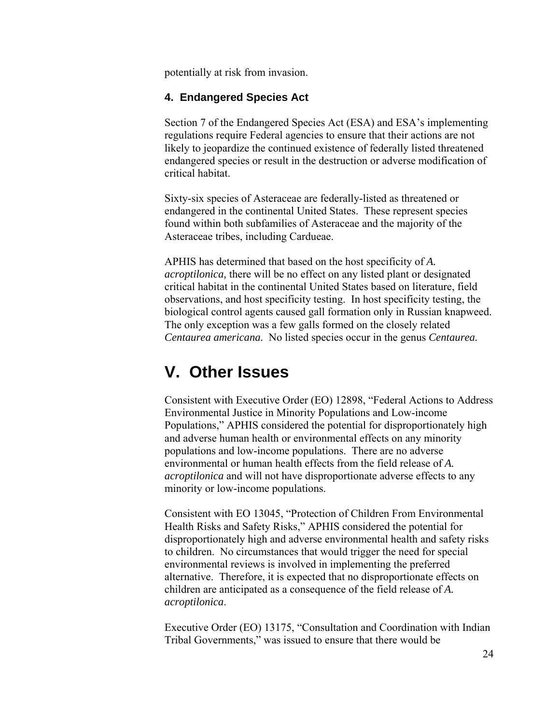potentially at risk from invasion.

## **4. Endangered Species Act**

Section 7 of the Endangered Species Act (ESA) and ESA's implementing regulations require Federal agencies to ensure that their actions are not likely to jeopardize the continued existence of federally listed threatened endangered species or result in the destruction or adverse modification of critical habitat.

Sixty-six species of Asteraceae are federally-listed as threatened or endangered in the continental United States. These represent species found within both subfamilies of Asteraceae and the majority of the Asteraceae tribes, including Cardueae.

APHIS has determined that based on the host specificity of *A. acroptilonica,* there will be no effect on any listed plant or designated critical habitat in the continental United States based on literature, field observations, and host specificity testing. In host specificity testing, the biological control agents caused gall formation only in Russian knapweed. The only exception was a few galls formed on the closely related *Centaurea americana.* No listed species occur in the genus *Centaurea.* 

# **V. Other Issues**

Consistent with Executive Order (EO) 12898, "Federal Actions to Address Environmental Justice in Minority Populations and Low-income Populations," APHIS considered the potential for disproportionately high and adverse human health or environmental effects on any minority populations and low-income populations. There are no adverse environmental or human health effects from the field release of *A. acroptilonica* and will not have disproportionate adverse effects to any minority or low-income populations.

Consistent with EO 13045, "Protection of Children From Environmental Health Risks and Safety Risks," APHIS considered the potential for disproportionately high and adverse environmental health and safety risks to children. No circumstances that would trigger the need for special environmental reviews is involved in implementing the preferred alternative. Therefore, it is expected that no disproportionate effects on children are anticipated as a consequence of the field release of *A. acroptilonica*.

Executive Order (EO) 13175, "Consultation and Coordination with Indian Tribal Governments," was issued to ensure that there would be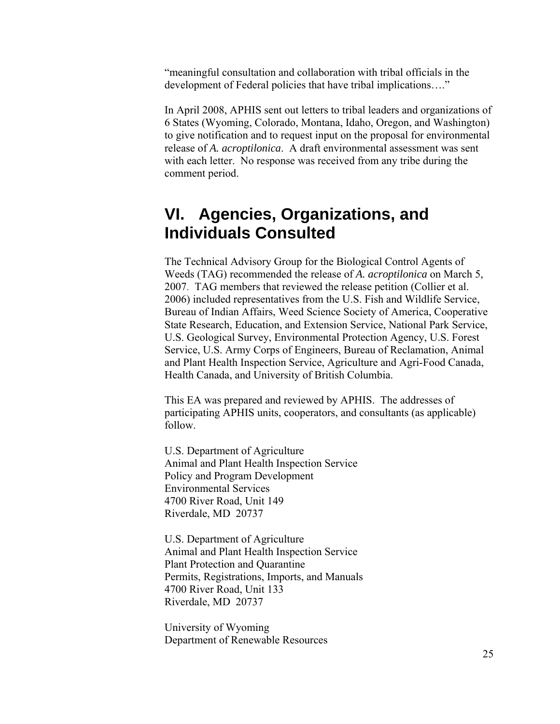"meaningful consultation and collaboration with tribal officials in the development of Federal policies that have tribal implications…."

In April 2008, APHIS sent out letters to tribal leaders and organizations of 6 States (Wyoming, Colorado, Montana, Idaho, Oregon, and Washington) to give notification and to request input on the proposal for environmental release of *A. acroptilonica*. A draft environmental assessment was sent with each letter. No response was received from any tribe during the comment period.

## **VI. Agencies, Organizations, and Individuals Consulted**

The Technical Advisory Group for the Biological Control Agents of Weeds (TAG) recommended the release of *A. acroptilonica* on March 5, 2007. TAG members that reviewed the release petition (Collier et al. 2006) included representatives from the U.S. Fish and Wildlife Service, Bureau of Indian Affairs, Weed Science Society of America, Cooperative State Research, Education, and Extension Service, National Park Service, U.S. Geological Survey, Environmental Protection Agency, U.S. Forest Service, U.S. Army Corps of Engineers, Bureau of Reclamation, Animal and Plant Health Inspection Service, Agriculture and Agri-Food Canada, Health Canada, and University of British Columbia.

This EA was prepared and reviewed by APHIS. The addresses of participating APHIS units, cooperators, and consultants (as applicable) follow.

U.S. Department of Agriculture Animal and Plant Health Inspection Service Policy and Program Development Environmental Services 4700 River Road, Unit 149 Riverdale, MD 20737

U.S. Department of Agriculture Animal and Plant Health Inspection Service Plant Protection and Quarantine Permits, Registrations, Imports, and Manuals 4700 River Road, Unit 133 Riverdale, MD 20737

University of Wyoming Department of Renewable Resources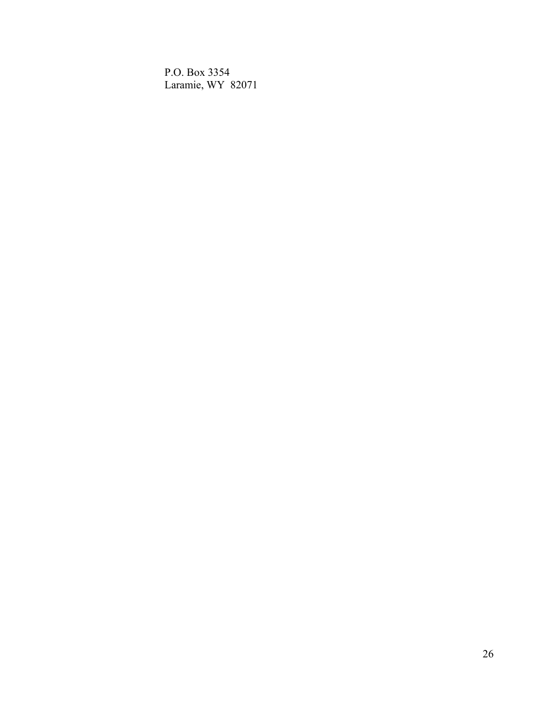P.O. Box 3354 Laramie, WY 82071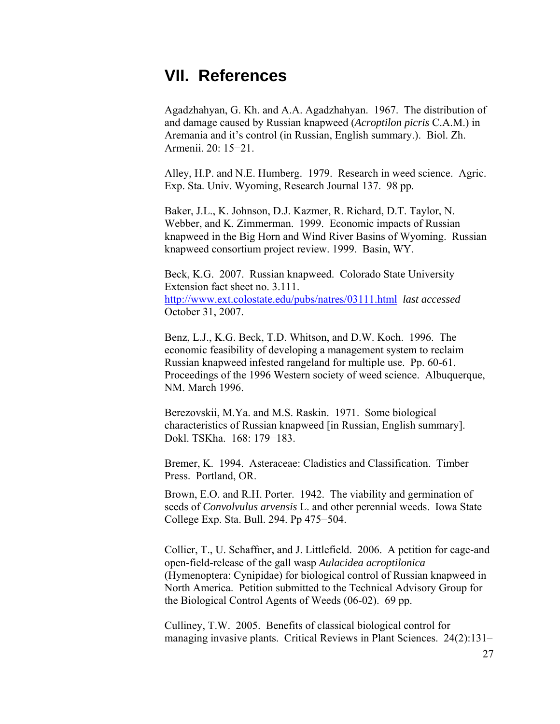## **VII. References**

Agadzhahyan, G. Kh. and A.A. Agadzhahyan. 1967. The distribution of and damage caused by Russian knapweed (*Acroptilon picris* C.A.M.) in Aremania and it's control (in Russian, English summary.). Biol. Zh. Armenii. 20: 15−21.

Alley, H.P. and N.E. Humberg. 1979. Research in weed science. Agric. Exp. Sta. Univ. Wyoming, Research Journal 137. 98 pp.

Baker, J.L., K. Johnson, D.J. Kazmer, R. Richard, D.T. Taylor, N. Webber, and K. Zimmerman. 1999. Economic impacts of Russian knapweed in the Big Horn and Wind River Basins of Wyoming. Russian knapweed consortium project review. 1999. Basin, WY.

Beck, K.G. 2007. Russian knapweed. Colorado State University Extension fact sheet no. 3.111. <http://www.ext.colostate.edu/pubs/natres/03111.html>*last accessed*  October 31, 2007.

Benz, L.J., K.G. Beck, T.D. Whitson, and D.W. Koch. 1996. The economic feasibility of developing a management system to reclaim Russian knapweed infested rangeland for multiple use. Pp. 60-61. Proceedings of the 1996 Western society of weed science. Albuquerque, NM. March 1996.

Berezovskii, M.Ya. and M.S. Raskin. 1971. Some biological characteristics of Russian knapweed [in Russian, English summary]. Dokl. TSKha. 168: 179−183.

Bremer, K. 1994. Asteraceae: Cladistics and Classification. Timber Press. Portland, OR.

Brown, E.O. and R.H. Porter. 1942. The viability and germination of seeds of *Convolvulus arvensis* L. and other perennial weeds. Iowa State College Exp. Sta. Bull. 294. Pp 475−504.

Collier, T., U. Schaffner, and J. Littlefield. 2006. A petition for cage-and open-field-release of the gall wasp *Aulacidea acroptilonica*  (Hymenoptera: Cynipidae) for biological control of Russian knapweed in North America. Petition submitted to the Technical Advisory Group for the Biological Control Agents of Weeds (06-02). 69 pp.

Culliney, T.W. 2005. Benefits of classical biological control for managing invasive plants. Critical Reviews in Plant Sciences. 24(2):131–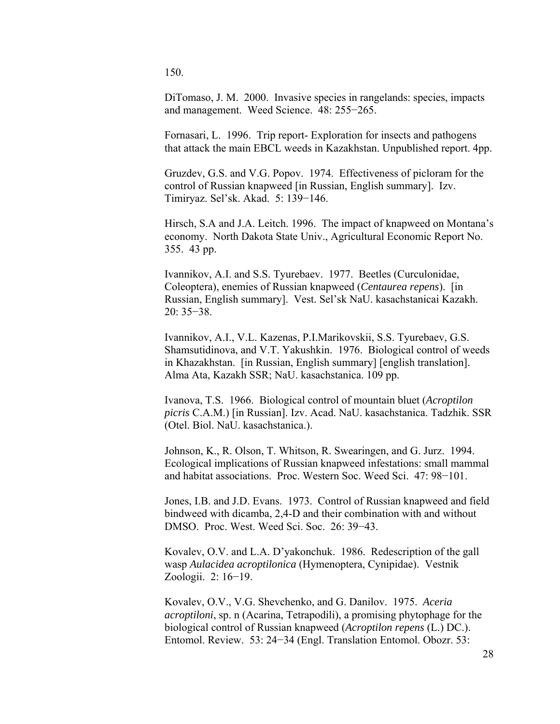150.

DiTomaso, J. M. 2000. Invasive species in rangelands: species, impacts and management. Weed Science. 48: 255−265.

Fornasari, L. 1996. Trip report- Exploration for insects and pathogens that attack the main EBCL weeds in Kazakhstan. Unpublished report. 4pp.

Gruzdev, G.S. and V.G. Popov. 1974. Effectiveness of picloram for the control of Russian knapweed [in Russian, English summary]. Izv. Timiryaz. Sel'sk. Akad. 5: 139−146.

Hirsch, S.A and J.A. Leitch. 1996. The impact of knapweed on Montana's economy. North Dakota State Univ., Agricultural Economic Report No. 355. 43 pp.

Ivannikov, A.I. and S.S. Tyurebaev. 1977. Beetles (Curculonidae, Coleoptera), enemies of Russian knapweed (*Centaurea repens*). [in Russian, English summary]. Vest. Sel'sk NaU. kasachstanicai Kazakh. 20: 35−38.

Ivannikov, A.I., V.L. Kazenas, P.I.Marikovskii, S.S. Tyurebaev, G.S. Shamsutidinova, and V.T. Yakushkin. 1976. Biological control of weeds in Khazakhstan. [in Russian, English summary] [english translation]. Alma Ata, Kazakh SSR; NaU. kasachstanica. 109 pp.

Ivanova, T.S. 1966. Biological control of mountain bluet (*Acroptilon picris* C.A.M.) [in Russian]. Izv. Acad. NaU. kasachstanica. Tadzhik. SSR (Otel. Biol. NaU. kasachstanica.).

Johnson, K., R. Olson, T. Whitson, R. Swearingen, and G. Jurz. 1994. Ecological implications of Russian knapweed infestations: small mammal and habitat associations. Proc. Western Soc. Weed Sci. 47: 98−101.

Jones, I.B. and J.D. Evans. 1973. Control of Russian knapweed and field bindweed with dicamba, 2,4-D and their combination with and without DMSO. Proc. West. Weed Sci. Soc. 26: 39−43.

Kovalev, O.V. and L.A. D'yakonchuk. 1986. Redescription of the gall wasp *Aulacidea acroptilonica* (Hymenoptera, Cynipidae). Vestnik Zoologii. 2: 16−19.

Kovalev, O.V., V.G. Shevchenko, and G. Danilov. 1975. *Aceria acroptiloni*, sp. n (Acarina, Tetrapodili), a promising phytophage for the biological control of Russian knapweed (*Acroptilon repens* (L.) DC.). Entomol. Review. 53: 24−34 (Engl. Translation Entomol. Obozr. 53: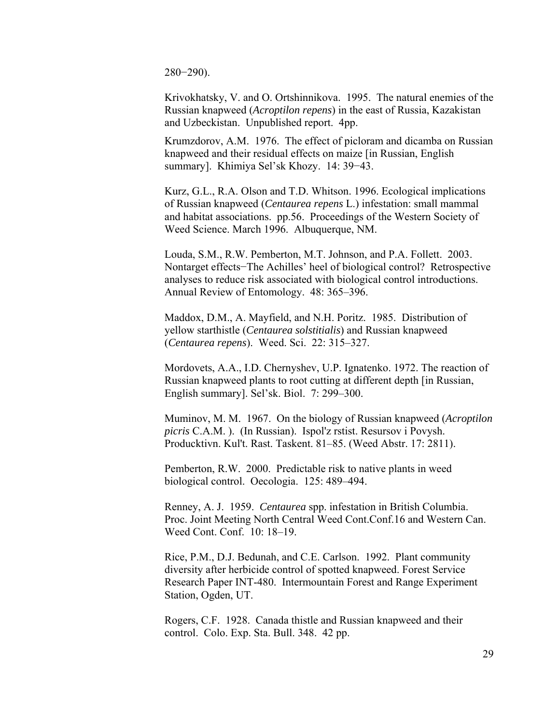280−290).

Krivokhatsky, V. and O. Ortshinnikova. 1995. The natural enemies of the Russian knapweed (*Acroptilon repens*) in the east of Russia, Kazakistan and Uzbeckistan. Unpublished report. 4pp.

Krumzdorov, A.M. 1976. The effect of picloram and dicamba on Russian knapweed and their residual effects on maize [in Russian, English summary]. Khimiya Sel'sk Khozy. 14: 39−43.

Kurz, G.L., R.A. Olson and T.D. Whitson. 1996. Ecological implications of Russian knapweed (*Centaurea repens* L.) infestation: small mammal and habitat associations. pp.56. Proceedings of the Western Society of Weed Science. March 1996. Albuquerque, NM.

Louda, S.M., R.W. Pemberton, M.T. Johnson, and P.A. Follett. 2003. Nontarget effects−The Achilles' heel of biological control? Retrospective analyses to reduce risk associated with biological control introductions. Annual Review of Entomology. 48: 365–396.

Maddox, D.M., A. Mayfield, and N.H. Poritz. 1985. Distribution of yellow starthistle (*Centaurea solstitialis*) and Russian knapweed (*Centaurea repens*). Weed. Sci. 22: 315–327.

Mordovets, A.A., I.D. Chernyshev, U.P. Ignatenko. 1972. The reaction of Russian knapweed plants to root cutting at different depth [in Russian, English summary]. Sel'sk. Biol. 7: 299–300.

Muminov, M. M. 1967. On the biology of Russian knapweed (*Acroptilon picris* C.A.M. ). (In Russian). Ispol'z rstist. Resursov i Povysh. Producktivn. Kul't. Rast. Taskent. 81–85. (Weed Abstr. 17: 2811).

Pemberton, R.W. 2000. Predictable risk to native plants in weed biological control. Oecologia. 125: 489–494.

Renney, A. J. 1959. *Centaurea* spp. infestation in British Columbia. Proc. Joint Meeting North Central Weed Cont.Conf.16 and Western Can. Weed Cont. Conf. 10: 18–19.

Rice, P.M., D.J. Bedunah, and C.E. Carlson. 1992. Plant community diversity after herbicide control of spotted knapweed. Forest Service Research Paper INT-480. Intermountain Forest and Range Experiment Station, Ogden, UT.

Rogers, C.F. 1928. Canada thistle and Russian knapweed and their control. Colo. Exp. Sta. Bull. 348. 42 pp.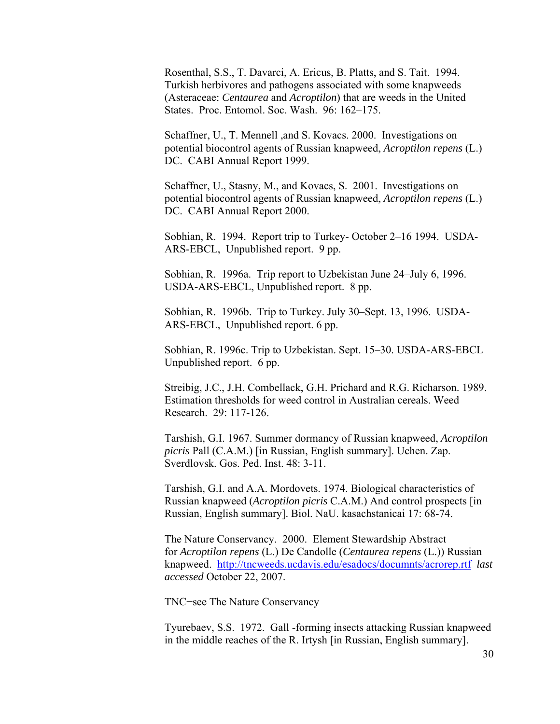Rosenthal, S.S., T. Davarci, A. Ericus, B. Platts, and S. Tait. 1994. Turkish herbivores and pathogens associated with some knapweeds (Asteraceae: *Centaurea* and *Acroptilon*) that are weeds in the United States. Proc. Entomol. Soc. Wash. 96: 162–175.

Schaffner, U., T. Mennell ,and S. Kovacs. 2000. Investigations on potential biocontrol agents of Russian knapweed, *Acroptilon repens* (L.) DC. CABI Annual Report 1999.

Schaffner, U., Stasny, M., and Kovacs, S. 2001. Investigations on potential biocontrol agents of Russian knapweed, *Acroptilon repens* (L.) DC. CABI Annual Report 2000.

Sobhian, R. 1994. Report trip to Turkey- October 2–16 1994. USDA-ARS-EBCL, Unpublished report. 9 pp.

Sobhian, R. 1996a. Trip report to Uzbekistan June 24–July 6, 1996. USDA-ARS-EBCL, Unpublished report. 8 pp.

Sobhian, R. 1996b. Trip to Turkey. July 30–Sept. 13, 1996. USDA-ARS-EBCL, Unpublished report. 6 pp.

Sobhian, R. 1996c. Trip to Uzbekistan. Sept. 15–30. USDA-ARS-EBCL Unpublished report. 6 pp.

Streibig, J.C., J.H. Combellack, G.H. Prichard and R.G. Richarson. 1989. Estimation thresholds for weed control in Australian cereals. Weed Research. 29: 117-126.

Tarshish, G.I. 1967. Summer dormancy of Russian knapweed, *Acroptilon picris* Pall (C.A.M.) [in Russian, English summary]. Uchen. Zap. Sverdlovsk. Gos. Ped. Inst. 48: 3-11.

Tarshish, G.I. and A.A. Mordovets. 1974. Biological characteristics of Russian knapweed (*Acroptilon picris* C.A.M.) And control prospects [in Russian, English summary]. Biol. NaU. kasachstanicai 17: 68-74.

The Nature Conservancy. 2000. Element Stewardship Abstract for *Acroptilon repens* (L.) De Candolle (*Centaurea repens* (L.)) Russian knapweed. <http://tncweeds.ucdavis.edu/esadocs/documnts/acrorep.rtf> *last accessed* October 22, 2007.

TNC−see The Nature Conservancy

Tyurebaev, S.S. 1972. Gall -forming insects attacking Russian knapweed in the middle reaches of the R. Irtysh [in Russian, English summary].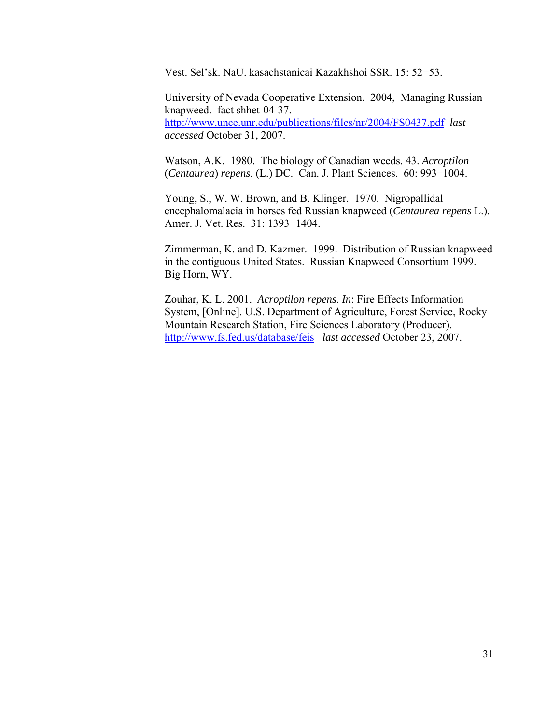Vest. Sel'sk. NaU. kasachstanicai Kazakhshoi SSR. 15: 52−53.

University of Nevada Cooperative Extension. 2004, Managing Russian knapweed. fact shhet-04-37. <http://www.unce.unr.edu/publications/files/nr/2004/FS0437.pdf>*last accessed* October 31, 2007.

Watson, A.K. 1980. The biology of Canadian weeds. 43. *Acroptilon*  (*Centaurea*) *repens*. (L.) DC. Can. J. Plant Sciences. 60: 993−1004.

Young, S., W. W. Brown, and B. Klinger. 1970. Nigropallidal encephalomalacia in horses fed Russian knapweed (*Centaurea repens* L.). Amer. J. Vet. Res. 31: 1393−1404.

Zimmerman, K. and D. Kazmer. 1999. Distribution of Russian knapweed in the contiguous United States. Russian Knapweed Consortium 1999. Big Horn, WY.

Zouhar, K. L. 2001. *Acroptilon repens*. *In*: Fire Effects Information System, [Online]. U.S. Department of Agriculture, Forest Service, Rocky Mountain Research Station, Fire Sciences Laboratory (Producer). <http://www.fs.fed.us/database/feis>*last accessed* October 23, 2007.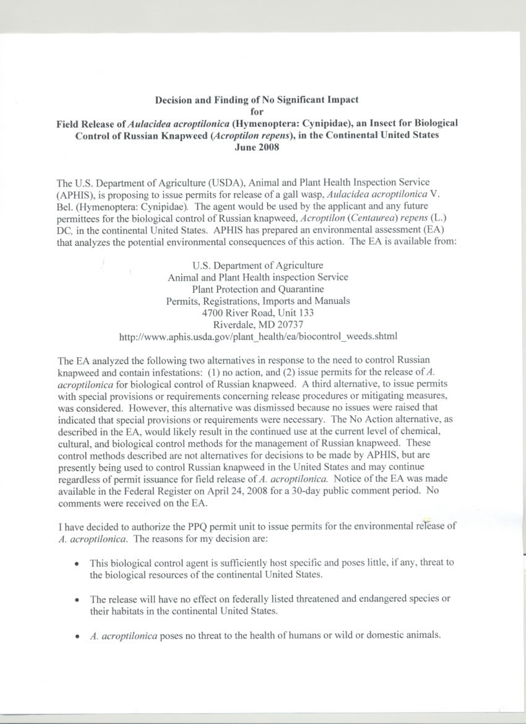## Decision and Finding of No Significant Impact for

## Field Release of Aulacidea acroptilonica (Hymenoptera: Cynipidae), an Insect for Biological Control of Russian Knapweed (Acroptilon repens), in the Continental United States **June 2008**

The U.S. Department of Agriculture (USDA), Animal and Plant Health Inspection Service (APHIS), is proposing to issue permits for release of a gall wasp, *Aulacidea acroptilonica* V. Bel. (Hymenoptera: Cynipidae). The agent would be used by the applicant and any future permittees for the biological control of Russian knapweed, Acroptilon (Centaurea) repens (L.) DC, in the continental United States. APHIS has prepared an environmental assessment (EA) that analyzes the potential environmental consequences of this action. The EA is available from:

> U.S. Department of Agriculture Animal and Plant Health inspection Service Plant Protection and Quarantine Permits, Registrations, Imports and Manuals 4700 River Road, Unit 133 Riverdale, MD 20737 http://www.aphis.usda.gov/plant\_health/ea/biocontrol\_weeds.shtml

The EA analyzed the following two alternatives in response to the need to control Russian knapweed and contain infestations:  $(1)$  no action, and  $(2)$  issue permits for the release of A. *acroptilonica* for biological control of Russian knapweed. A third alternative, to issue permits with special provisions or requirements concerning release procedures or mitigating measures, was considered. However, this alternative was dismissed because no issues were raised that indicated that special provisions or requirements were necessary. The No Action alternative, as described in the EA, would likely result in the continued use at the current level of chemical, cultural, and biological control methods for the management of Russian knapweed. These control methods described are not alternatives for decisions to be made by APHIS, but are presently being used to control Russian knapweed in the United States and may continue regardless of permit issuance for field release of A. acroptilonica. Notice of the EA was made available in the Federal Register on April 24, 2008 for a 30-day public comment period. No comments were received on the EA.

I have decided to authorize the PPQ permit unit to issue permits for the environmental release of A. acroptilonica. The reasons for my decision are:

- This biological control agent is sufficiently host specific and poses little, if any, threat to the biological resources of the continental United States.
- The release will have no effect on federally listed threatened and endangered species or their habitats in the continental United States.
- A. acroptilonica poses no threat to the health of humans or wild or domestic animals.